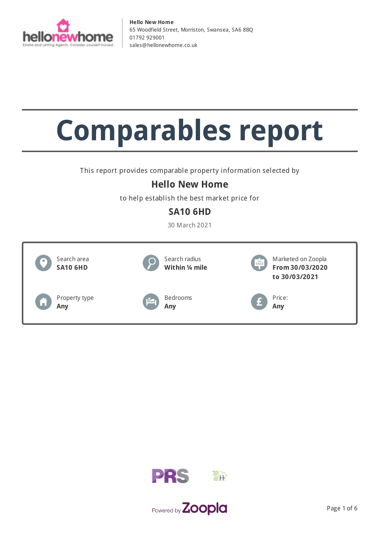

# **Comparables report**

This report provides comparable property information selected by

## **Hello New Home**

to help establish the best market price for

## **SA10 6HD**

30 March 2021





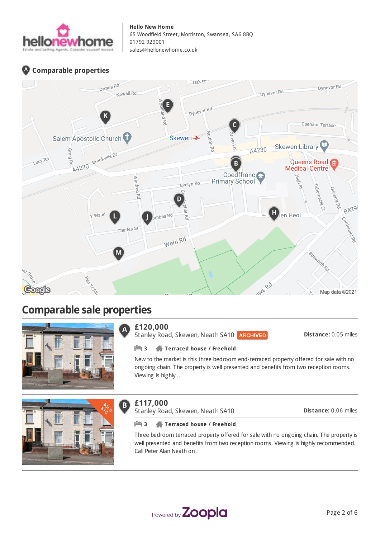

## **Comparable properties**



# **Comparable sale properties**



#### **£120,000**  $\overline{\mathsf{A}}$

Stanley Road, Skewen, Neath SA10 **ARCHIVED** 

**Distance:** 0.05 miles

## **3 Terraced house / Freehold**

New to the market is this three bedroom end-terraced property offered for sale with no ongoing chain. The property is well presented and benefits from two reception rooms. Viewing is highly ...



#### **£117,000**  $\bf{B}$

Stanley Road, Skewen, Neath SA10

**Distance:** 0.06 miles

## **3 Terraced house / Freehold**

Three bedroom terraced property offered for sale with no ongoing chain. The property is well presented and benefits from two reception rooms. Viewing is highly recommended. Call Peter Alan Neath on .

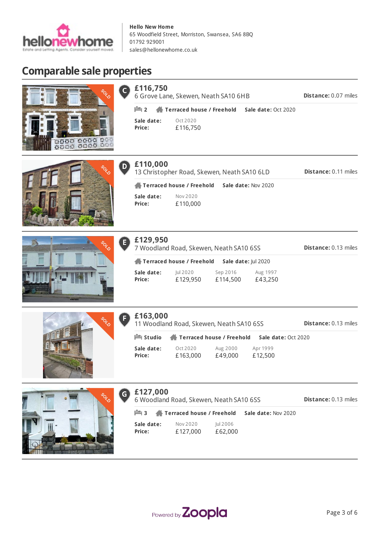

# **Comparable sale properties**



| 6 Grove Lane, Skewen, Neath SA10 6HB |                                                                |  |  |  |  |
|--------------------------------------|----------------------------------------------------------------|--|--|--|--|
|                                      | <b>Example 2</b> Terraced house / Freehold Sale date: Oct 2020 |  |  |  |  |
| Sale date:<br>Price:                 | Oct 2020<br>£116,750                                           |  |  |  |  |

Nov 2020 £110,000

13 Christopher Road, Skewen, Neath SA10 6LD

**Terraced house / Freehold Sale date:** Nov 2020





|  | BOCO | $\mathbf \Theta$ | £129<br>7 Woo     |
|--|------|------------------|-------------------|
|  |      |                  | <b>合</b> Ter      |
|  |      |                  | Sale da<br>Price: |

| £129,950             | 7 Woodland Road, Skewen, Neath SA10 6SS |                      |                     | <b>Distance: 0.13 miles</b> |
|----------------------|-----------------------------------------|----------------------|---------------------|-----------------------------|
|                      | Terraced house / Freehold               | Sale date: Jul 2020  |                     |                             |
| Sale date:<br>Price: | Jul 2020<br>£129,950                    | Sep 2016<br>£114,500 | Aug 1997<br>£43,250 |                             |



|  | £163,000 |
|--|----------|
|  |          |

**Sale date: Price:**

**£110,000**

D)

11 Woodland Road, Skewen, Neath SA10 6SS

**Distance:** 0.13 miles

**Distance:** 0.07 miles

**Distance:** 0.11 miles

| $\mathbb{H}$ Studio |          | Terraced house / Freehold | Sale date: Oct 2020 |
|---------------------|----------|---------------------------|---------------------|
| Sale date:          | Oct 2020 | Aug 2000                  | Apr 1999            |
| Price:              | £163,000 | £49.000                   | £12,500             |



| $\mathsf{G}$ | £127,000<br>6 Woodland Road, Skewen, Neath SA10 6SS   |                      |                     |                     | <b>Distance: 0.13 miles</b> |
|--------------|-------------------------------------------------------|----------------------|---------------------|---------------------|-----------------------------|
|              | $\mathbb{H}$ 3 $\mathbb{A}$ Terraced house / Freehold |                      |                     | Sale date: Nov 2020 |                             |
|              | Sale date:<br>Price:                                  | Nov 2020<br>£127,000 | Jul 2006<br>£62,000 |                     |                             |

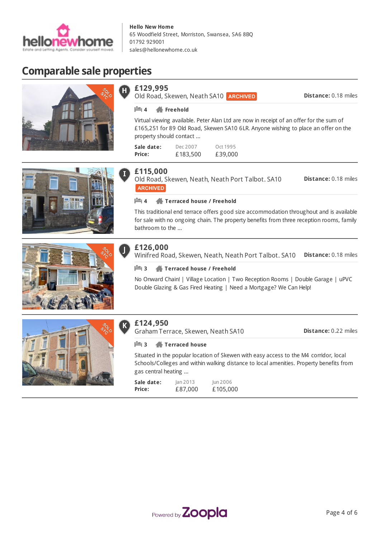

Old Road, Skewen, Neath SA10 **ARCHIVED** 

# **Comparable sale properties**









## **£115,000**

**Sale date: Price:**

**£129,995**

**4 Freehold**

property should contact ...

Old Road, Skewen, Neath, Neath Port Talbot. SA10 **Distance:** 0.18 miles **ARCHIVED** 

Virtual viewing available. Peter Alan Ltd are now in receipt of an offer for the sum of £165,251 for 89 Old Road, Skewen SA10 6LR. Anyone wishing to place an offer on the

> Oct 1995 £39,000

**4 Terraced house / Freehold**

Dec 2007 £183,500

This traditional end terrace offers good size accommodation throughout and is available for sale with no ongoing chain. The property benefits from three reception rooms, family bathroom to the ...

## **£126,000**

**Distance:** 0.18 miles Winifred Road, Skewen, Neath, Neath Port Talbot. SA10

#### **3 Terraced house / Freehold**

No Onward Chain! | Village Location | Two Reception Rooms | Double Garage | uPVC Double Glazing & Gas Fired Heating | Need a Mortgage? We Can Help!



#### **£124,950**  $\mathbf K$

Graham Terrace, Skewen, Neath SA10

**Distance:** 0.22 miles

**Distance:** 0.18 miles

## **3 Terraced house**

Situated in the popular location of Skewen with easy access to the M4 corridor, local Schools/Colleges and within walking distance to local amenities. Property benefits from gas central heating ...

| Sale date:    | lan 2013 | Jun 2006 |
|---------------|----------|----------|
| <b>Price:</b> | £87,000  | £105,000 |

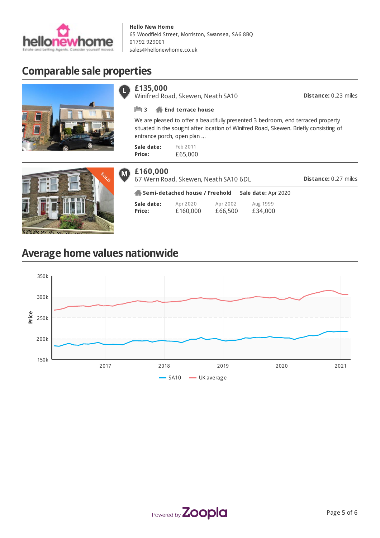

# **Comparable sale properties**





Π

Winifred Road, Skewen, Neath SA10

**Distance:** 0.23 miles

#### **3 End terrace house**

We are pleased to offer a beautifully presented 3 bedroom, end terraced property situated in the sought after location of Winifred Road, Skewen. Briefly consisting of entrance porch, open plan ...

| Sale date: | Feb 2011 |
|------------|----------|
| Price:     | £65,000  |



| £160,000<br>67 Wern Road, Skewen, Neath SA10 6DL |                                |                      |                     |                     | <b>Distance: 0.27 miles</b> |  |
|--------------------------------------------------|--------------------------------|----------------------|---------------------|---------------------|-----------------------------|--|
|                                                  | Semi-detached house / Freehold |                      |                     | Sale date: Apr 2020 |                             |  |
|                                                  | Sale date:<br>Price:           | Apr 2020<br>£160,000 | Apr 2002<br>£66,500 | Aug 1999<br>£34,000 |                             |  |

# **Average home values nationwide**